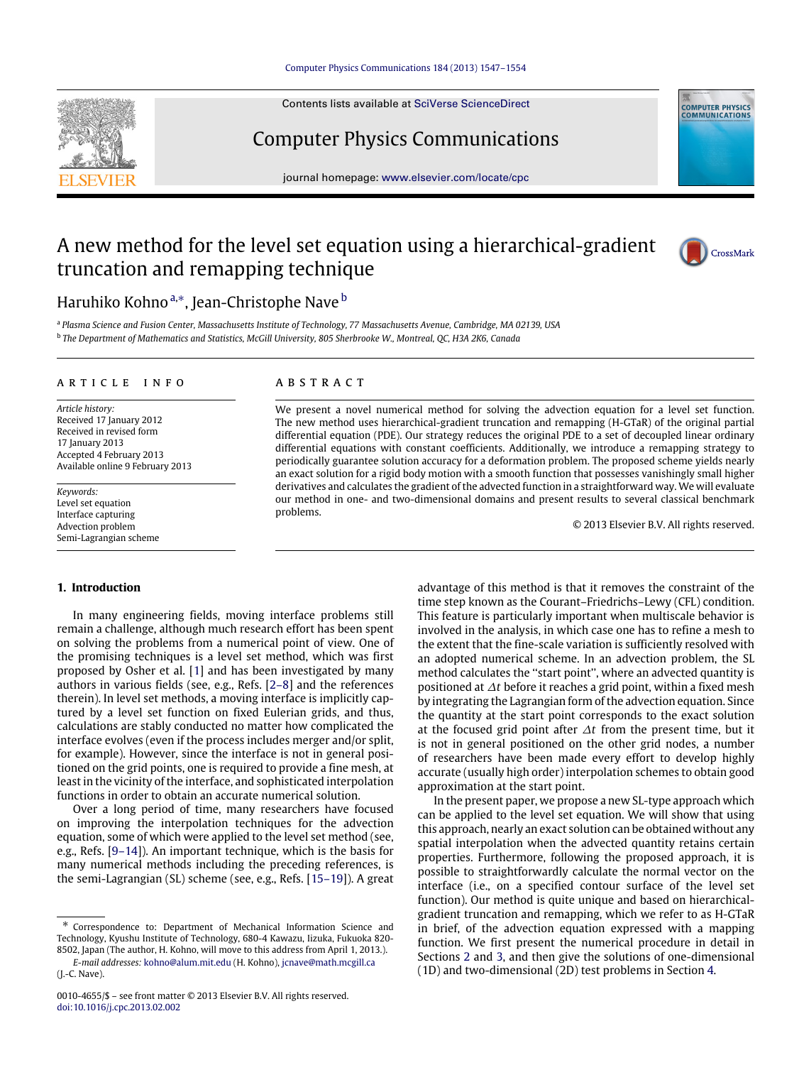## [Computer Physics Communications 184 \(2013\) 1547–1554](http://dx.doi.org/10.1016/j.cpc.2013.02.002)

Contents lists available at [SciVerse ScienceDirect](http://www.elsevier.com/locate/cpc)

# Computer Physics Communications

journal homepage: [www.elsevier.com/locate/cpc](http://www.elsevier.com/locate/cpc)



# A new method for the level set equation using a hierarchical-gradient truncation and remapping technique



Haruhiko Kohno<sup>[a,](#page-0-0)</sup>\*, Jean-Christophe Nave <sup>[b](#page-0-2)</sup>

<span id="page-0-2"></span><span id="page-0-0"></span>a *Plasma Science and Fusion Center, Massachusetts Institute of Technology, 77 Massachusetts Avenue, Cambridge, MA 02139, USA* b *The Department of Mathematics and Statistics, McGill University, 805 Sherbrooke W., Montreal, QC, H3A 2K6, Canada*

#### a r t i c l e i n f o

*Article history:* Received 17 January 2012 Received in revised form 17 January 2013 Accepted 4 February 2013 Available online 9 February 2013

*Keywords:* Level set equation Interface capturing Advection problem Semi-Lagrangian scheme

#### **1. Introduction**

In many engineering fields, moving interface problems still remain a challenge, although much research effort has been spent on solving the problems from a numerical point of view. One of the promising techniques is a level set method, which was first proposed by Osher et al. [\[1\]](#page-7-0) and has been investigated by many authors in various fields (see, e.g., Refs. [\[2–8\]](#page-7-1) and the references therein). In level set methods, a moving interface is implicitly captured by a level set function on fixed Eulerian grids, and thus, calculations are stably conducted no matter how complicated the interface evolves (even if the process includes merger and/or split, for example). However, since the interface is not in general positioned on the grid points, one is required to provide a fine mesh, at least in the vicinity of the interface, and sophisticated interpolation functions in order to obtain an accurate numerical solution.

Over a long period of time, many researchers have focused on improving the interpolation techniques for the advection equation, some of which were applied to the level set method (see, e.g., Refs. [\[9–14\]](#page-7-2)). An important technique, which is the basis for many numerical methods including the preceding references, is the semi-Lagrangian (SL) scheme (see, e.g., Refs. [\[15–19\]](#page-7-3)). A great

# A B S T R A C T

We present a novel numerical method for solving the advection equation for a level set function. The new method uses hierarchical-gradient truncation and remapping (H-GTaR) of the original partial differential equation (PDE). Our strategy reduces the original PDE to a set of decoupled linear ordinary differential equations with constant coefficients. Additionally, we introduce a remapping strategy to periodically guarantee solution accuracy for a deformation problem. The proposed scheme yields nearly an exact solution for a rigid body motion with a smooth function that possesses vanishingly small higher derivatives and calculates the gradient of the advected function in a straightforward way. We will evaluate our method in one- and two-dimensional domains and present results to several classical benchmark problems.

© 2013 Elsevier B.V. All rights reserved.

advantage of this method is that it removes the constraint of the time step known as the Courant–Friedrichs–Lewy (CFL) condition. This feature is particularly important when multiscale behavior is involved in the analysis, in which case one has to refine a mesh to the extent that the fine-scale variation is sufficiently resolved with an adopted numerical scheme. In an advection problem, the SL method calculates the ''start point'', where an advected quantity is positioned at ∆*t* before it reaches a grid point, within a fixed mesh by integrating the Lagrangian form of the advection equation. Since the quantity at the start point corresponds to the exact solution at the focused grid point after ∆*t* from the present time, but it is not in general positioned on the other grid nodes, a number of researchers have been made every effort to develop highly accurate (usually high order) interpolation schemes to obtain good approximation at the start point.

In the present paper, we propose a new SL-type approach which can be applied to the level set equation. We will show that using this approach, nearly an exact solution can be obtained without any spatial interpolation when the advected quantity retains certain properties. Furthermore, following the proposed approach, it is possible to straightforwardly calculate the normal vector on the interface (i.e., on a specified contour surface of the level set function). Our method is quite unique and based on hierarchicalgradient truncation and remapping, which we refer to as H-GTaR in brief, of the advection equation expressed with a mapping function. We first present the numerical procedure in detail in Sections [2](#page-1-0) and [3,](#page-1-1) and then give the solutions of one-dimensional (1D) and two-dimensional (2D) test problems in Section [4.](#page-2-0)



<span id="page-0-1"></span><sup>∗</sup> Correspondence to: Department of Mechanical Information Science and Technology, Kyushu Institute of Technology, 680-4 Kawazu, Iizuka, Fukuoka 820- 8502, Japan (The author, H. Kohno, will move to this address from April 1, 2013.).

*E-mail addresses:* [kohno@alum.mit.edu](mailto:kohno@alum.mit.edu) (H. Kohno), [jcnave@math.mcgill.ca](mailto:jcnave@math.mcgill.ca) (J.-C. Nave).

<sup>0010-4655/\$ –</sup> see front matter © 2013 Elsevier B.V. All rights reserved. [doi:10.1016/j.cpc.2013.02.002](http://dx.doi.org/10.1016/j.cpc.2013.02.002)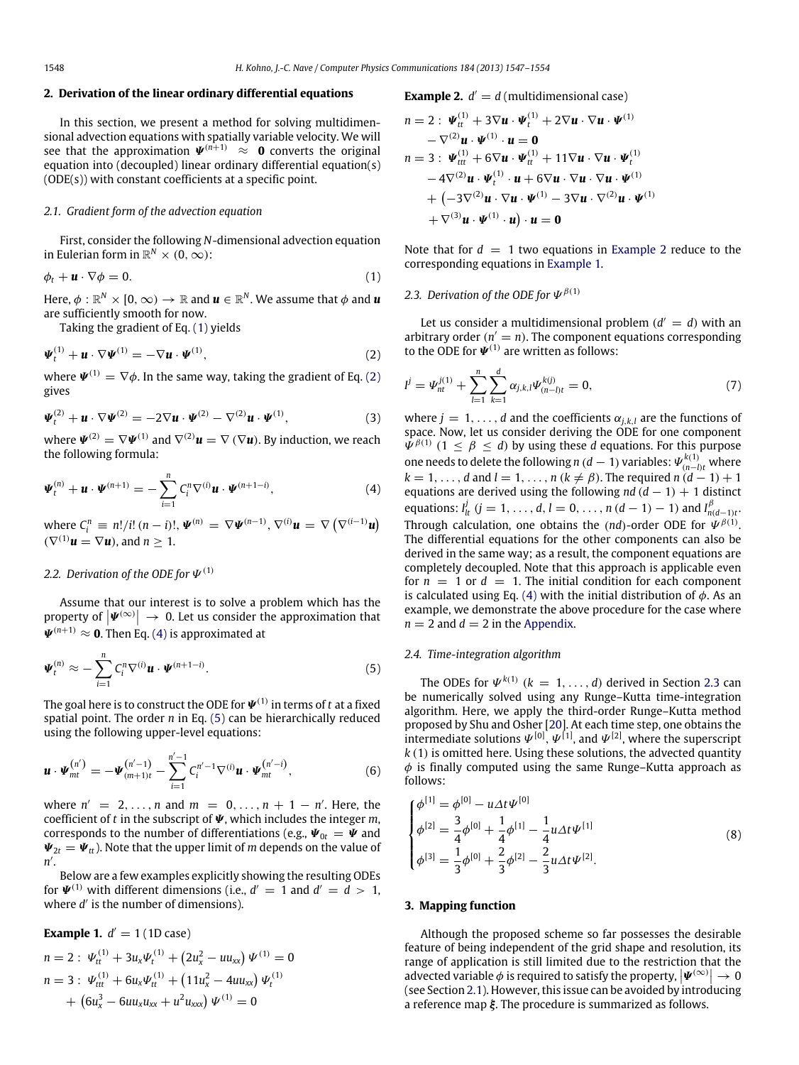# <span id="page-1-0"></span>**2. Derivation of the linear ordinary differential equations**

In this section, we present a method for solving multidimensional advection equations with spatially variable velocity. We will see that the approximation  $\Psi^{(n+1)} \approx 0$  converts the original equation into (decoupled) linear ordinary differential equation(s) (ODE(s)) with constant coefficients at a specific point.

### <span id="page-1-9"></span>*2.1. Gradient form of the advection equation*

First, consider the following *N*-dimensional advection equation in Eulerian form in  $\mathbb{R}^N\times(0,\infty)$ :

$$
\phi_t + \mathbf{u} \cdot \nabla \phi = 0. \tag{1}
$$

Here,  $\phi: \mathbb{R}^N \times [0,\infty) \to \mathbb{R}$  and  $\pmb{u} \in \mathbb{R}^N.$  We assume that  $\phi$  and  $\pmb{u}$ are sufficiently smooth for now.

Taking the gradient of Eq. [\(1\)](#page-1-2) yields

$$
\Psi_t^{(1)} + \mathbf{u} \cdot \nabla \Psi^{(1)} = -\nabla \mathbf{u} \cdot \mathbf{\Psi}^{(1)},\tag{2}
$$

where  $\boldsymbol{\varPsi}^{(1)}=\nabla \phi.$  In the same way, taking the gradient of Eq. [\(2\)](#page-1-3) gives

$$
\boldsymbol{\Psi}_t^{(2)} + \boldsymbol{u} \cdot \nabla \boldsymbol{\Psi}^{(2)} = -2 \nabla \boldsymbol{u} \cdot \boldsymbol{\Psi}^{(2)} - \nabla^{(2)} \boldsymbol{u} \cdot \boldsymbol{\Psi}^{(1)},
$$
(3)

where  $\boldsymbol{\varPsi}^{(2)} = \nabla \boldsymbol{\varPsi}^{(1)}$  and  $\nabla^{(2)} \boldsymbol{u} = \nabla \left( \nabla \boldsymbol{u} \right)$ . By induction, we reach the following formula:

$$
\boldsymbol{\Psi}_t^{(n)} + \boldsymbol{u} \cdot \boldsymbol{\Psi}^{(n+1)} = -\sum_{i=1}^n C_i^n \nabla^{(i)} \boldsymbol{u} \cdot \boldsymbol{\Psi}^{(n+1-i)},
$$
\n(4)

where  $C_i^n \equiv n!/i! (n-i)!$ ,  $\Psi^{(n)} = \nabla \Psi^{(n-1)}$ ,  $\nabla^{(i)} \mathbf{u} = \nabla (\nabla^{(i-1)} \mathbf{u})$  $(\nabla^{(1)}\mathbf{u} = \nabla\mathbf{u})$ , and  $n \geq 1$ .

# <span id="page-1-12"></span>2.2. Derivation of the ODE for  $\boldsymbol{\varPsi}^{(1)}$

Assume that our interest is to solve a problem which has the property of  $|\Psi^{(\infty)}| \to 0$ . Let us consider the approximation that  $\mathbf{\Psi}^{(n+1)} \approx \mathbf{0}$ . Then Eq. [\(4\)](#page-1-4) is approximated at

$$
\boldsymbol{\varPsi}_t^{(n)} \approx -\sum_{i=1}^n C_i^n \nabla^{(i)} \boldsymbol{u} \cdot \boldsymbol{\varPsi}^{(n+1-i)}.
$$
 (5)

The goal here is to construct the ODE for  $\boldsymbol{\varPsi}^{(1)}$  in terms of  $t$  at a fixed spatial point. The order *n* in Eq. [\(5\)](#page-1-5) can be hierarchically reduced using the following upper-level equations:

$$
\boldsymbol{u} \cdot \boldsymbol{\varPsi}_{mt}^{(n')} = -\boldsymbol{\varPsi}_{(m+1)t}^{(n'-1)} - \sum_{i=1}^{n'-1} C_i^{n'-1} \nabla^{(i)} \boldsymbol{u} \cdot \boldsymbol{\varPsi}_{mt}^{(n'-i)}, \qquad (6)
$$

where  $n' = 2, ..., n$  and  $m = 0, ..., n + 1 - n'$ . Here, the coefficient of *t* in the subscript of Ψ, which includes the integer *m*, corresponds to the number of differentiations (e.g.,  $\Psi_{0t} = \Psi$  and  $\Psi_{2t} = \Psi_{tt}$ ). Note that the upper limit of *m* depends on the value of *n* ′ .

Below are a few examples explicitly showing the resulting ODEs for  $\Psi^{(1)}$  with different dimensions (i.e.,  $d' = 1$  and  $d' = d > 1$ , where *d'* is the number of dimensions).

<span id="page-1-7"></span>**Example 1.** 
$$
d' = 1
$$
 (1D case)  
\n $n = 2 : \Psi_{tt}^{(1)} + 3u_x\Psi_t^{(1)} + (2u_x^2 - uu_{xx})\Psi^{(1)} = 0$   
\n $n = 3 : \Psi_{tt}^{(1)} + 6u_x\Psi_{tt}^{(1)} + (11u_x^2 - 4uu_{xx})\Psi_t^{(1)}$   
\n $+ (6u_x^3 - 6uu_xu_{xx} + u^2u_{xxx})\Psi_{tt}^{(1)} = 0$ 

<span id="page-1-6"></span>**Example 2.**  $d' = d$  (multidimensional case)

$$
n = 2: \Psi_{tt}^{(1)} + 3\nabla u \cdot \Psi_{t}^{(1)} + 2\nabla u \cdot \nabla u \cdot \Psi^{(1)}
$$
  
\n
$$
-\nabla^{(2)}u \cdot \Psi^{(1)} \cdot u = 0
$$
  
\n
$$
n = 3: \Psi_{tt}^{(1)} + 6\nabla u \cdot \Psi_{tt}^{(1)} + 11\nabla u \cdot \nabla u \cdot \Psi_{t}^{(1)}
$$
  
\n
$$
-4\nabla^{(2)}u \cdot \Psi_{t}^{(1)} \cdot u + 6\nabla u \cdot \nabla u \cdot \nabla u \cdot \Psi^{(1)}
$$
  
\n
$$
+ (-3\nabla^{(2)}u \cdot \nabla u \cdot \Psi^{(1)} - 3\nabla u \cdot \nabla^{(2)}u \cdot \Psi^{(1)}
$$
  
\n
$$
+ \nabla^{(3)}u \cdot \Psi^{(1)} \cdot u + 0 = 0
$$

Note that for  $d = 1$  two equations in [Example 2](#page-1-6) reduce to the corresponding equations in [Example 1.](#page-1-7)

# <span id="page-1-8"></span><span id="page-1-2"></span>2.3. Derivation of the ODE for  $\Psi^{\beta(1)}$

Let us consider a multidimensional problem  $(d' = d)$  with an arbitrary order  $(n' = n)$ . The component equations corresponding to the ODE for  $\Psi^{(1)}$  are written as follows:

<span id="page-1-10"></span><span id="page-1-3"></span>
$$
I^{j} = \Psi_{nt}^{j(1)} + \sum_{l=1}^{n} \sum_{k=1}^{d} \alpha_{j,k,l} \Psi_{(n-l)t}^{k(j)} = 0, \qquad (7)
$$

<span id="page-1-4"></span>where  $j = 1, \ldots, d$  and the coefficients  $\alpha_{i,k,l}$  are the functions of space. Now, let us consider deriving the ODE for one component  $\Psi^{\beta(1)}$  (1  $\leq \beta \leq d$ ) by using these *d* equations. For this purpose one needs to delete the following  $n$  ( $d-1$ ) variables:  $\Psi^{k(1)}_{(n-l)t}$  where  $k = 1, \ldots, d$  and  $l = 1, \ldots, n$  ( $k \neq \beta$ ). The required *n* ( $d - 1$ ) + 1 equations are derived using the following  $nd(d-1) + 1$  distinct equations:  $I^j_{lt}$  (*j* = 1, ..., *d*, *l* = 0, ..., *n* (*d* − 1) − 1) and  $I^{\beta}_{n(d-1)t}$ . Through calculation, one obtains the  $(nd)$ -order ODE for  $\psi^{\beta(1)}$ . The differential equations for the other components can also be derived in the same way; as a result, the component equations are completely decoupled. Note that this approach is applicable even for  $n = 1$  or  $d = 1$ . The initial condition for each component is calculated using Eq. [\(4\)](#page-1-4) with the initial distribution of  $\phi$ . As an example, we demonstrate the above procedure for the case where  $n = 2$  and  $d = 2$  in the [Appendix.](#page-6-0)

## <span id="page-1-11"></span><span id="page-1-5"></span>*2.4. Time-integration algorithm*

The ODEs for  $\Psi^{k(1)}$  ( $k = 1, ..., d$ ) derived in Section [2.3](#page-1-8) can be numerically solved using any Runge–Kutta time-integration algorithm. Here, we apply the third-order Runge–Kutta method proposed by Shu and Osher [\[20\]](#page-7-4). At each time step, one obtains the intermediate solutions  $\Psi^{[0]}, \Psi^{[1]},$  and  $\Psi^{[2]}$ , where the superscript *k* (1) is omitted here. Using these solutions, the advected quantity  $\phi$  is finally computed using the same Runge–Kutta approach as follows:

$$
\begin{cases}\n\phi^{[1]} = \phi^{[0]} - u \Delta t \Psi^{[0]} \\
\phi^{[2]} = \frac{3}{4} \phi^{[0]} + \frac{1}{4} \phi^{[1]} - \frac{1}{4} u \Delta t \Psi^{[1]} \\
\phi^{[3]} = \frac{1}{3} \phi^{[0]} + \frac{2}{3} \phi^{[2]} - \frac{2}{3} u \Delta t \Psi^{[2]}.\n\end{cases}
$$
\n(8)

## <span id="page-1-1"></span>**3. Mapping function**

Although the proposed scheme so far possesses the desirable feature of being independent of the grid shape and resolution, its range of application is still limited due to the restriction that the advected variable  $\phi$  is required to satisfy the property,  $|\Psi^{(\infty)}| \to 0$ (see Section [2.1\)](#page-1-9). However, this issue can be avoided by introducing a reference map  $\xi$ . The procedure is summarized as follows.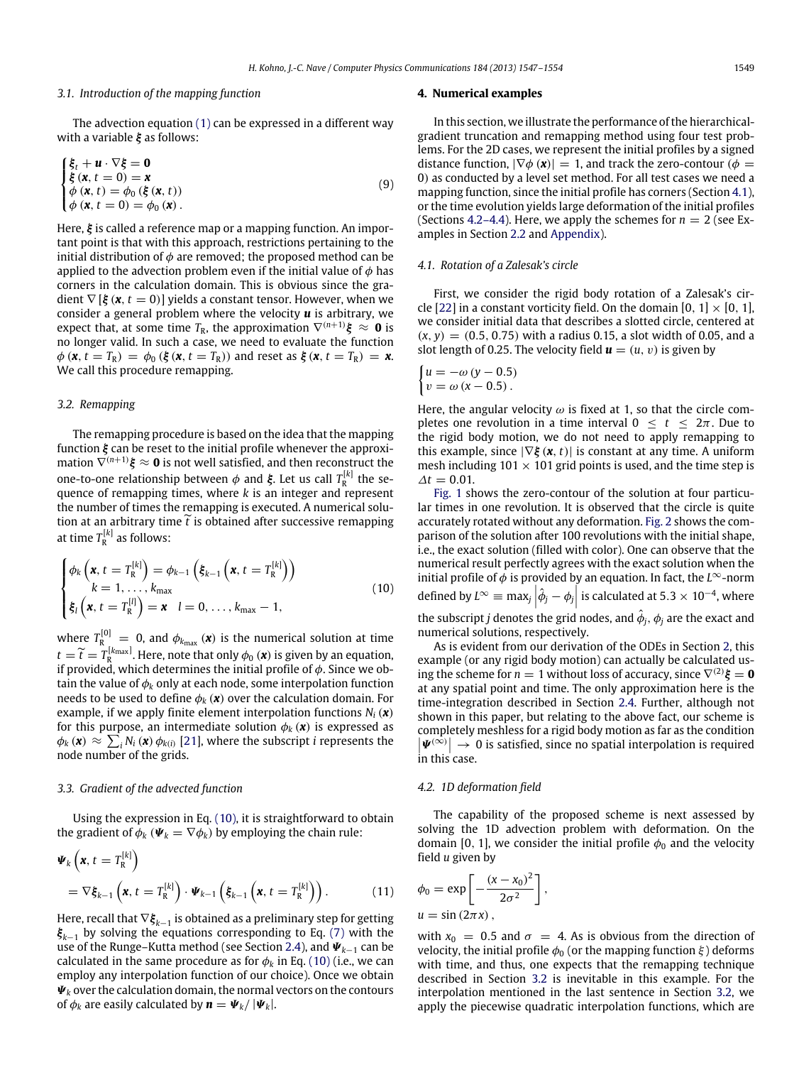#### *3.1. Introduction of the mapping function*

The advection equation [\(1\)](#page-1-2) can be expressed in a different way with a variable **ξ** as follows:

$$
\begin{cases}\n\xi_t + \mathbf{u} \cdot \nabla \xi = \mathbf{0} \\
\xi (\mathbf{x}, t = 0) = \mathbf{x} \\
\phi (\mathbf{x}, t) = \phi_0 (\xi (\mathbf{x}, t)) \\
\phi (\mathbf{x}, t = 0) = \phi_0 (\mathbf{x}).\n\end{cases}
$$
\n(9)

Here,  $\xi$  is called a reference map or a mapping function. An important point is that with this approach, restrictions pertaining to the initial distribution of  $\phi$  are removed; the proposed method can be applied to the advection problem even if the initial value of  $\phi$  has corners in the calculation domain. This is obvious since the gradient  $\nabla$  [ $\xi$  ( $x$ ,  $t = 0$ )] yields a constant tensor. However, when we consider a general problem where the velocity *u* is arbitrary, we expect that, at some time  $T_{\text{R}}$ , the approximation  $\nabla^{(n+1)}\xi \, \approx \, 0$  is no longer valid. In such a case, we need to evaluate the function  $\phi$  ( $\mathbf{x}, t = T_R$ ) =  $\phi_0$  ( $\xi$  ( $\mathbf{x}, t = T_R$ )) and reset as  $\xi$  ( $\mathbf{x}, t = T_R$ ) =  $\mathbf{x}$ . We call this procedure remapping.

## <span id="page-2-4"></span>*3.2. Remapping*

The remapping procedure is based on the idea that the mapping function  $\xi$  can be reset to the initial profile whenever the approximation  $\bar{\nabla}^{(n+1)}\boldsymbol{\xi}\approx\boldsymbol{0}$  is not well satisfied, and then reconstruct the one-to-one relationship between  $\phi$  and  $\xi$ . Let us call  $T_{\rm R}^{[k]}$  the sequence of remapping times, where *k* is an integer and represent the number of times the remapping is executed. A numerical solution at an arbitrary time  $\tilde{t}$  is obtained after successive remapping at time  $T_{\rm R}^{[k]}$  as follows:

$$
\begin{cases}\n\phi_k\left(\mathbf{x}, t = T_{\mathsf{R}}^{[k]}\right) = \phi_{k-1}\left(\mathbf{\xi}_{k-1}\left(\mathbf{x}, t = T_{\mathsf{R}}^{[k]}\right)\right) \\
k = 1, \dots, k_{\max} \\
\mathbf{\xi}_l\left(\mathbf{x}, t = T_{\mathsf{R}}^{[l]}\right) = \mathbf{x} \quad l = 0, \dots, k_{\max} - 1,\n\end{cases}
$$
\n(10)

where  $T_{\rm R}^{[0]} = 0$ , and  $\phi_{k_{\rm max}} (\boldsymbol{x})$  is the numerical solution at time  $t = \widetilde{t} = T_k^{[k_{\text{max}}]}$ . Here, note that only  $\phi_0(\mathbf{x})$  is given by an equation, if provided, which determines the initial profile of  $\phi$ . Since we obtain the value of  $\phi_k$  only at each node, some interpolation function needs to be used to define  $\phi_k(x)$  over the calculation domain. For example, if we apply finite element interpolation functions *N<sup>i</sup>* (*x*) for this purpose, an intermediate solution  $\phi_k(\mathbf{x})$  is expressed as  $\phi_k$  ( $\bm{x}$ )  $\approx \sum_i N_i$  ( $\bm{x}$ )  $\phi_{k(i)}$  [\[21\]](#page-7-5), where the subscript *i* represents the node number of the grids.

#### <span id="page-2-7"></span>*3.3. Gradient of the advected function*

Using the expression in Eq. [\(10\),](#page-2-1) it is straightforward to obtain the gradient of  $\phi_k$  ( $\Psi_k = \nabla \phi_k$ ) by employing the chain rule:

$$
\Psi_{k}\left(\mathbf{x}, t = T_{\mathsf{R}}^{[k]}\right) \n= \nabla \xi_{k-1}\left(\mathbf{x}, t = T_{\mathsf{R}}^{[k]}\right) \cdot \Psi_{k-1}\left(\xi_{k-1}\left(\mathbf{x}, t = T_{\mathsf{R}}^{[k]}\right)\right).
$$
\n(11)

Here, recall that  $\nabla \boldsymbol{\xi}_{k-1}$  is obtained as a preliminary step for getting ξ*k*−<sup>1</sup> by solving the equations corresponding to Eq. [\(7\)](#page-1-10) with the use of the Runge–Kutta method (see Section [2.4\)](#page-1-11), and Ψ*k*−<sup>1</sup> can be calculated in the same procedure as for  $\phi_k$  in Eq. [\(10\)](#page-2-1) (i.e., we can employ any interpolation function of our choice). Once we obtain  $\Psi_k$  over the calculation domain, the normal vectors on the contours of  $\phi_k$  are easily calculated by  $\mathbf{n} = \mathbf{\Psi}_k / |\mathbf{\Psi}_k|$ .

#### <span id="page-2-0"></span>**4. Numerical examples**

<span id="page-2-5"></span>In this section, we illustrate the performance of the hierarchicalgradient truncation and remapping method using four test problems. For the 2D cases, we represent the initial profiles by a signed distance function,  $|\nabla \phi(x)| = 1$ , and track the zero-contour ( $\phi =$ 0) as conducted by a level set method. For all test cases we need a mapping function, since the initial profile has corners (Section [4.1\)](#page-2-2), or the time evolution yields large deformation of the initial profiles (Sections [4.2–4.4\)](#page-2-3). Here, we apply the schemes for  $n = 2$  (see Examples in Section [2.2](#page-1-12) and [Appendix\)](#page-6-0).

#### <span id="page-2-2"></span>*4.1. Rotation of a Zalesak's circle*

First, we consider the rigid body rotation of a Zalesak's cir-cle [\[22\]](#page-7-6) in a constant vorticity field. On the domain [0, 1]  $\times$  [0, 1], we consider initial data that describes a slotted circle, centered at  $(x, y) = (0.5, 0.75)$  with a radius 0.15, a slot width of 0.05, and a slot length of 0.25. The velocity field  $\mathbf{u} = (u, v)$  is given by

$$
\begin{cases}\nu = -\omega (y - 0.5) \\
v = \omega (x - 0.5)\n\end{cases}
$$

Here, the angular velocity  $\omega$  is fixed at 1, so that the circle completes one revolution in a time interval  $0 \le t \le 2\pi$ . Due to the rigid body motion, we do not need to apply remapping to this example, since  $|\nabla \xi(x, t)|$  is constant at any time. A uniform mesh including  $101 \times 101$  grid points is used, and the time step is  $\Delta t = 0.01$ .

<span id="page-2-1"></span>[Fig. 1](#page-3-0) shows the zero-contour of the solution at four particular times in one revolution. It is observed that the circle is quite accurately rotated without any deformation. [Fig. 2](#page-3-1) shows the comparison of the solution after 100 revolutions with the initial shape, i.e., the exact solution (filled with color). One can observe that the numerical result perfectly agrees with the exact solution when the initial profile of  $\dot{\phi}$  is provided by an equation. In fact, the  $L^{\infty}$ -norm defined by  $L^{\infty} \equiv \max_{j} \left| \hat{\phi}_{j} - \phi_{j} \right|$  is calculated at 5.3 × 10<sup>-4</sup>, where the subscript *j* denotes the grid nodes, and  $\hat{\phi}_j$ ,  $\phi_j$  are the exact and numerical solutions, respectively.

As is evident from our derivation of the ODEs in Section [2,](#page-1-0) this example (or any rigid body motion) can actually be calculated using the scheme for  $n = 1$  without loss of accuracy, since  $\nabla^{(2)}\xi = 0$ at any spatial point and time. The only approximation here is the time-integration described in Section [2.4.](#page-1-11) Further, although not shown in this paper, but relating to the above fact, our scheme is completely meshless for a rigid body motion as far as the condition  $|\Psi^{(\infty)}| \to 0$  is satisfied, since no spatial interpolation is required in this case.

## <span id="page-2-3"></span>*4.2. 1D deformation field*

The capability of the proposed scheme is next assessed by solving the 1D advection problem with deformation. On the domain [0, 1], we consider the initial profile  $\phi_0$  and the velocity field *u* given by

<span id="page-2-6"></span>
$$
\phi_0 = \exp\left[-\frac{(x-x_0)^2}{2\sigma^2}\right],
$$
  
 
$$
u = \sin(2\pi x),
$$

with  $x_0 = 0.5$  and  $\sigma = 4$ . As is obvious from the direction of velocity, the initial profile  $\phi_0$  (or the mapping function  $\xi$ ) deforms with time, and thus, one expects that the remapping technique described in Section [3.2](#page-2-4) is inevitable in this example. For the interpolation mentioned in the last sentence in Section [3.2,](#page-2-4) we apply the piecewise quadratic interpolation functions, which are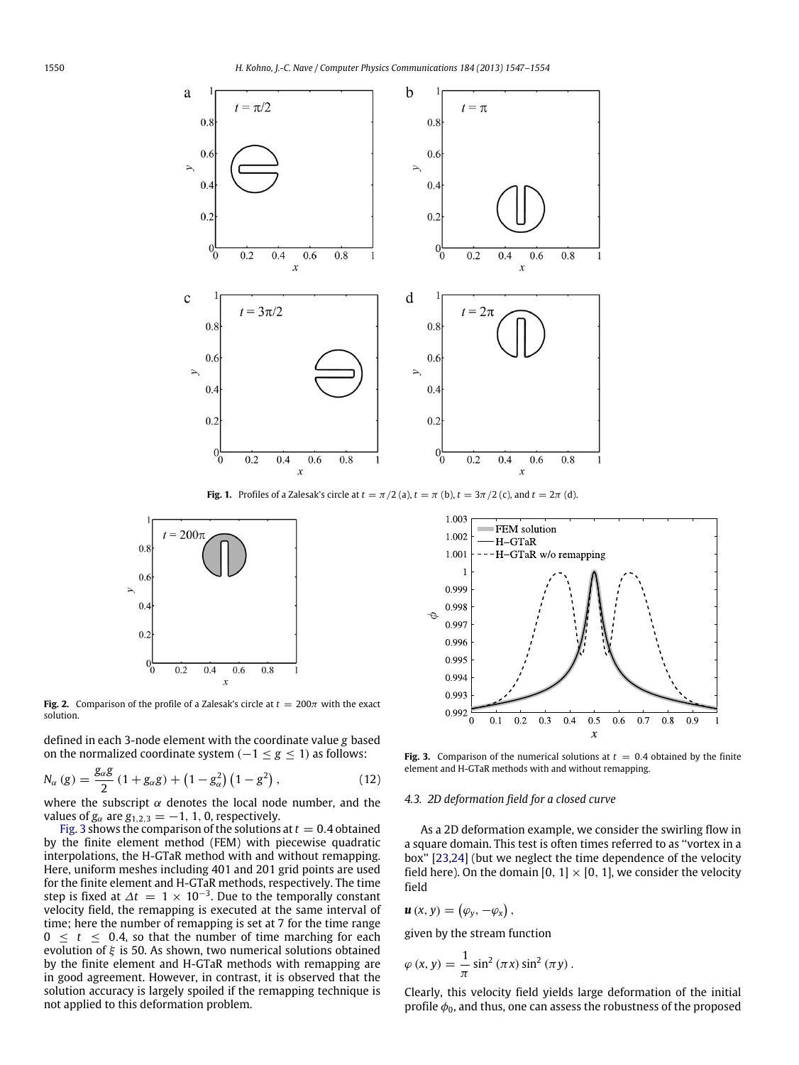<span id="page-3-0"></span>

**Fig. 1.** Profiles of a Zalesak's circle at  $t = \pi/2$  (a),  $t = \pi$  (b),  $t = 3\pi/2$  (c), and  $t = 2\pi$  (d).

<span id="page-3-1"></span>

**Fig. 2.** Comparison of the profile of a Zalesak's circle at  $t = 200\pi$  with the exact solution.

defined in each 3-node element with the coordinate value *g* based on the normalized coordinate system (−1 ≤ *g* ≤ 1) as follows:

$$
N_{\alpha}(g) = \frac{g_{\alpha}g}{2} (1 + g_{\alpha}g) + (1 - g_{\alpha}^{2}) (1 - g^{2}), \qquad (12)
$$

where the subscript  $\alpha$  denotes the local node number, and the values of  $g_\alpha$  are  $g_{1,2,3} = -1, 1, 0$ , respectively.

[Fig. 3](#page-3-2) shows the comparison of the solutions at  $t = 0.4$  obtained by the finite element method (FEM) with piecewise quadratic interpolations, the H-GTaR method with and without remapping. Here, uniform meshes including 401 and 201 grid points are used for the finite element and H-GTaR methods, respectively. The time step is fixed at  $\Delta t = 1 \times 10^{-3}$ . Due to the temporally constant velocity field, the remapping is executed at the same interval of time; here the number of remapping is set at 7 for the time range  $0 \leq t \leq 0.4$ , so that the number of time marching for each evolution of  $\xi$  is 50. As shown, two numerical solutions obtained by the finite element and H-GTaR methods with remapping are in good agreement. However, in contrast, it is observed that the solution accuracy is largely spoiled if the remapping technique is not applied to this deformation problem.

<span id="page-3-2"></span>

**Fig. 3.** Comparison of the numerical solutions at  $t = 0.4$  obtained by the finite element and H-GTaR methods with and without remapping.

## <span id="page-3-3"></span>*4.3. 2D deformation field for a closed curve*

As a 2D deformation example, we consider the swirling flow in a square domain. This test is often times referred to as ''vortex in a box'' [\[23,](#page-7-7)[24\]](#page-7-8) (but we neglect the time dependence of the velocity field here). On the domain [0, 1]  $\times$  [0, 1], we consider the velocity field

$$
\mathbf{u}\left( x,y\right) =\left( \varphi _{y},-\varphi _{x}\right) ,
$$

given by the stream function

$$
\varphi(x,y) = \frac{1}{\pi} \sin^2(\pi x) \sin^2(\pi y).
$$

Clearly, this velocity field yields large deformation of the initial profile  $\phi_0$ , and thus, one can assess the robustness of the proposed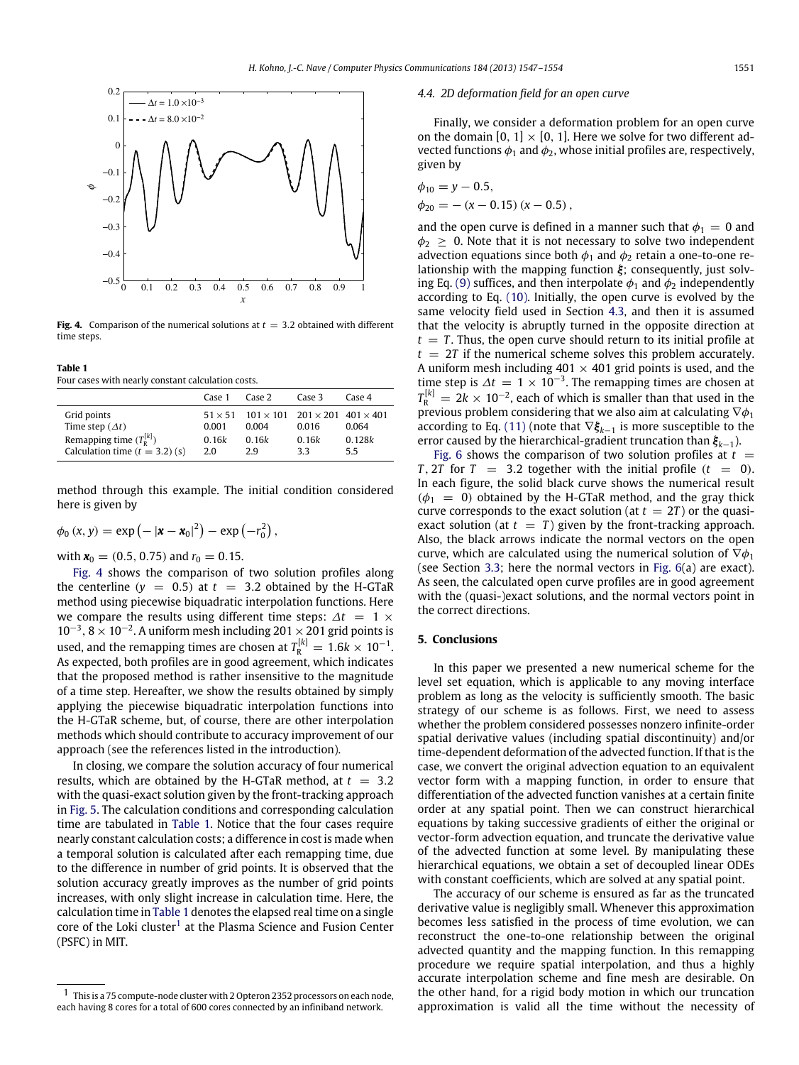<span id="page-4-0"></span>

**Fig. 4.** Comparison of the numerical solutions at  $t = 3.2$  obtained with different time steps.

<span id="page-4-1"></span>**Table 1** Four cases with nearly constant calculation costs.

|                                    | Case 1 | Case 2                                                            | Case 3 | Case 4 |
|------------------------------------|--------|-------------------------------------------------------------------|--------|--------|
| Grid points                        |        | $51 \times 51$ 101 $\times$ 101 201 $\times$ 201 401 $\times$ 401 |        |        |
| Time step $(\Delta t)$             | 0.001  | 0.004                                                             | 0.016  | 0.064  |
| Remapping time $(T_{\rm R}^{[k]})$ | 0.16k  | 0.16k                                                             | 0.16k  | 0.128k |
| Calculation time $(t = 3.2)$ (s)   | 2.0    | 29                                                                | 33     | 5.5    |

method through this example. The initial condition considered here is given by

$$
\phi_0(x, y) = \exp(-|x - x_0|^2) - \exp(-r_0^2)
$$
,

with  $x_0 = (0.5, 0.75)$  and  $r_0 = 0.15$ .

[Fig. 4](#page-4-0) shows the comparison of two solution profiles along the centerline  $(y = 0.5)$  at  $t = 3.2$  obtained by the H-GTaR method using piecewise biquadratic interpolation functions. Here we compare the results using different time steps:  $\Delta t = 1 \times$ 10−<sup>3</sup> , 8×10−<sup>2</sup> . A uniform mesh including 201×201 grid points is used, and the remapping times are chosen at  $T_R^{[k]} = 1.6k \times 10^{-1}$ . As expected, both profiles are in good agreement, which indicates that the proposed method is rather insensitive to the magnitude of a time step. Hereafter, we show the results obtained by simply applying the piecewise biquadratic interpolation functions into the H-GTaR scheme, but, of course, there are other interpolation methods which should contribute to accuracy improvement of our approach (see the references listed in the introduction).

In closing, we compare the solution accuracy of four numerical results, which are obtained by the H-GTaR method, at  $t = 3.2$ with the quasi-exact solution given by the front-tracking approach in [Fig. 5.](#page-5-0) The calculation conditions and corresponding calculation time are tabulated in [Table 1.](#page-4-1) Notice that the four cases require nearly constant calculation costs; a difference in cost is made when a temporal solution is calculated after each remapping time, due to the difference in number of grid points. It is observed that the solution accuracy greatly improves as the number of grid points increases, with only slight increase in calculation time. Here, the calculation time in [Table 1](#page-4-1) denotes the elapsed real time on a single core of the Loki cluster<sup>[1](#page-4-2)</sup> at the Plasma Science and Fusion Center (PSFC) in MIT.

#### *4.4. 2D deformation field for an open curve*

Finally, we consider a deformation problem for an open curve on the domain  $[0, 1] \times [0, 1]$ . Here we solve for two different advected functions  $\phi_1$  and  $\phi_2$ , whose initial profiles are, respectively, given by

$$
\phi_{10} = y - 0.5,
$$
  
\n
$$
\phi_{20} = -(x - 0.15) (x - 0.5),
$$

and the open curve is defined in a manner such that  $\phi_1 = 0$  and  $\phi_2 \geq 0$ . Note that it is not necessary to solve two independent advection equations since both  $\phi_1$  and  $\phi_2$  retain a one-to-one relationship with the mapping function  $\xi$ ; consequently, just solv-ing Eq. [\(9\)](#page-2-5) suffices, and then interpolate  $\phi_1$  and  $\phi_2$  independently according to Eq. [\(10\).](#page-2-1) Initially, the open curve is evolved by the same velocity field used in Section [4.3,](#page-3-3) and then it is assumed that the velocity is abruptly turned in the opposite direction at  $t = T$ . Thus, the open curve should return to its initial profile at  $t = 2T$  if the numerical scheme solves this problem accurately. A uniform mesh including  $401 \times 401$  grid points is used, and the time step is  $\Delta t = 1 \times 10^{-3}$ . The remapping times are chosen at  $T_{\rm R}^{[k]} = 2k \times 10^{-2}$ , each of which is smaller than that used in the previous problem considering that we also aim at calculating  $\nabla \phi_1$ according to Eq. [\(11\)](#page-2-6) (note that ∇ξ*k*−<sup>1</sup> is more susceptible to the error caused by the hierarchical-gradient truncation than  $\xi_{k-1}$ ).

[Fig. 6](#page-5-1) shows the comparison of two solution profiles at  $t =$ *T*, 2*T* for  $T = 3.2$  together with the initial profile  $(t = 0)$ . In each figure, the solid black curve shows the numerical result  $(\phi_1 = 0)$  obtained by the H-GTaR method, and the gray thick curve corresponds to the exact solution (at  $t = 2T$ ) or the quasiexact solution (at  $t = T$ ) given by the front-tracking approach. Also, the black arrows indicate the normal vectors on the open curve, which are calculated using the numerical solution of  $\nabla \phi_1$ (see Section [3.3;](#page-2-7) here the normal vectors in [Fig. 6\(](#page-5-1)a) are exact). As seen, the calculated open curve profiles are in good agreement with the (quasi-)exact solutions, and the normal vectors point in the correct directions.

## **5. Conclusions**

In this paper we presented a new numerical scheme for the level set equation, which is applicable to any moving interface problem as long as the velocity is sufficiently smooth. The basic strategy of our scheme is as follows. First, we need to assess whether the problem considered possesses nonzero infinite-order spatial derivative values (including spatial discontinuity) and/or time-dependent deformation of the advected function. If that is the case, we convert the original advection equation to an equivalent vector form with a mapping function, in order to ensure that differentiation of the advected function vanishes at a certain finite order at any spatial point. Then we can construct hierarchical equations by taking successive gradients of either the original or vector-form advection equation, and truncate the derivative value of the advected function at some level. By manipulating these hierarchical equations, we obtain a set of decoupled linear ODEs with constant coefficients, which are solved at any spatial point.

The accuracy of our scheme is ensured as far as the truncated derivative value is negligibly small. Whenever this approximation becomes less satisfied in the process of time evolution, we can reconstruct the one-to-one relationship between the original advected quantity and the mapping function. In this remapping procedure we require spatial interpolation, and thus a highly accurate interpolation scheme and fine mesh are desirable. On the other hand, for a rigid body motion in which our truncation approximation is valid all the time without the necessity of

<span id="page-4-2"></span>This is a 75 compute-node cluster with 2 Opteron 2352 processors on each node, each having 8 cores for a total of 600 cores connected by an infiniband network.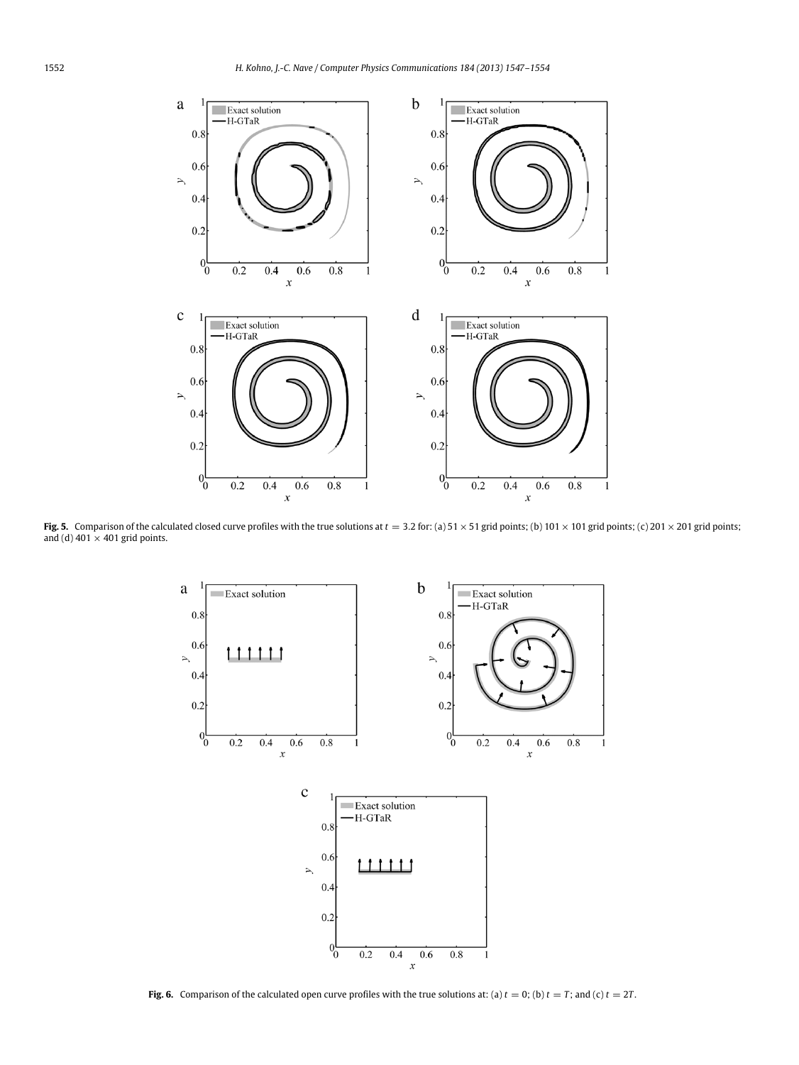<span id="page-5-0"></span>

<span id="page-5-1"></span>**Fig. 5.** Comparison of the calculated closed curve profiles with the true solutions at  $t = 3.2$  for: (a)  $51 \times 51$  grid points; (b)  $101 \times 101$  grid points; (c)  $201 \times 201$  grid points; and (d)  $401 \times 401$  grid points.



**Fig. 6.** Comparison of the calculated open curve profiles with the true solutions at: (a)  $t = 0$ ; (b)  $t = T$ ; and (c)  $t = 2T$ .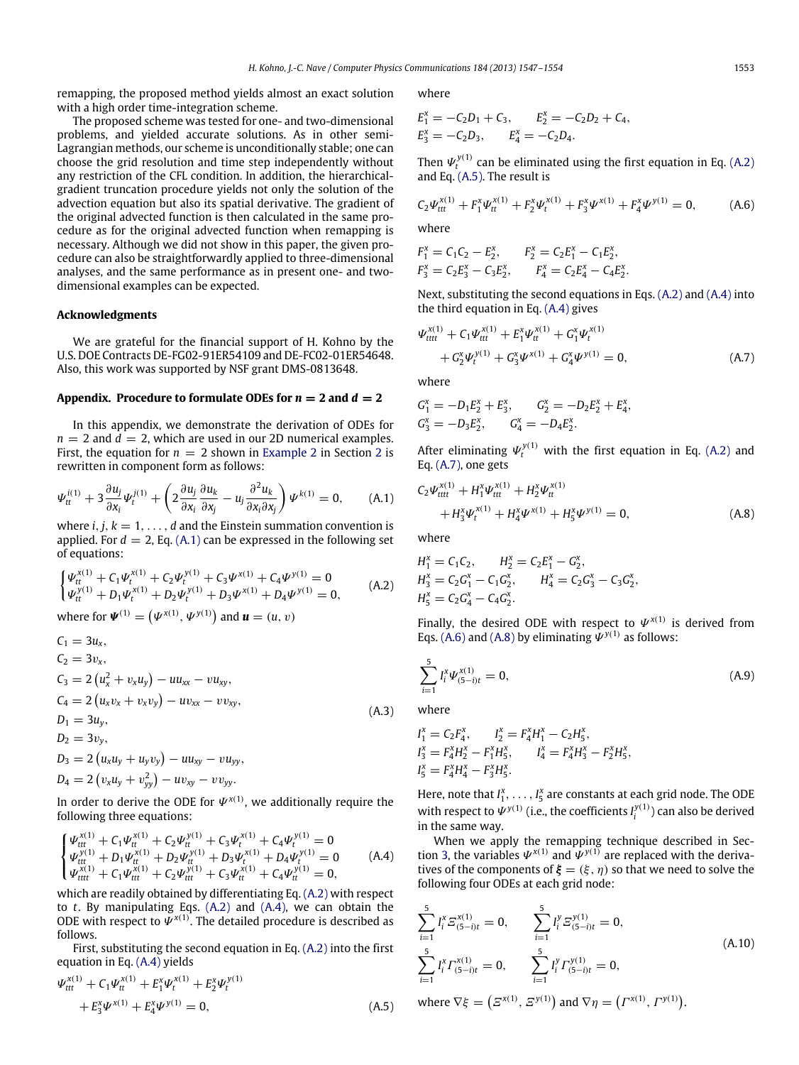remapping, the proposed method yields almost an exact solution with a high order time-integration scheme.

The proposed scheme was tested for one- and two-dimensional problems, and yielded accurate solutions. As in other semi-Lagrangian methods, our scheme is unconditionally stable; one can choose the grid resolution and time step independently without any restriction of the CFL condition. In addition, the hierarchicalgradient truncation procedure yields not only the solution of the advection equation but also its spatial derivative. The gradient of the original advected function is then calculated in the same procedure as for the original advected function when remapping is necessary. Although we did not show in this paper, the given procedure can also be straightforwardly applied to three-dimensional analyses, and the same performance as in present one- and twodimensional examples can be expected.

# **Acknowledgments**

We are grateful for the financial support of H. Kohno by the U.S. DOE Contracts DE-FG02-91ER54109 and DE-FC02-01ER54648. Also, this work was supported by NSF grant DMS-0813648.

# <span id="page-6-0"></span>Appendix. Procedure to formulate ODEs for  $n = 2$  and  $d = 2$

In this appendix, we demonstrate the derivation of ODEs for  $n = 2$  and  $d = 2$ , which are used in our 2D numerical examples. First, the equation for  $n = 2$  $n = 2$  shown in [Example 2](#page-1-6) in Section 2 is rewritten in component form as follows:

$$
\Psi_{tt}^{i(1)} + 3\frac{\partial u_j}{\partial x_i} \Psi_t^{j(1)} + \left(2\frac{\partial u_j}{\partial x_i} \frac{\partial u_k}{\partial x_j} - u_j \frac{\partial^2 u_k}{\partial x_i \partial x_j}\right) \Psi^{k(1)} = 0, \quad (A.1)
$$

where  $i, j, k = 1, \ldots, d$  and the Einstein summation convention is applied. For  $d = 2$ , Eq. [\(A.1\)](#page-6-1) can be expressed in the following set of equations:

$$
\begin{cases} \Psi_{tt}^{x(1)} + C_1 \Psi_t^{x(1)} + C_2 \Psi_t^{y(1)} + C_3 \Psi^{x(1)} + C_4 \Psi^{y(1)} = 0\\ \Psi_{tt}^{y(1)} + D_1 \Psi_t^{x(1)} + D_2 \Psi_t^{y(1)} + D_3 \Psi^{x(1)} + D_4 \Psi^{y(1)} = 0, \end{cases}
$$
 (A.2)  
where for  $\Psi^{(1)} = (\Psi^{x(1)}, \Psi^{y(1)})$  and  $\mathbf{u} = (u, v)$ 

$$
C_1 = 3u_x,
$$
  
\n
$$
C_2 = 3v_x,
$$
  
\n
$$
C_3 = 2(u_x^2 + v_x u_y) - uu_{xx} - vu_{xy},
$$
  
\n
$$
C_4 = 2(u_x v_x + v_x v_y) - uv_{xx} - vv_{xy},
$$
  
\n
$$
D_1 = 3u_y,
$$
  
\n
$$
D_2 = 3v_y,
$$
  
\n
$$
D_3 = 2(u_x u_y + u_y v_y) - uu_{xy} - vu_{yy},
$$
  
\n
$$
D_4 = 2(v_x u_y + v_{yy}^2) - uv_{xy} - vv_{yy}.
$$
\n(A.3)

In order to derive the ODE for  $\boldsymbol{\varPsi}^{\text{x(1)}}$ , we additionally require the following three equations:

$$
\begin{cases} \Psi_{tt}^{x(1)} + C_1 \Psi_{tt}^{x(1)} + C_2 \Psi_{tt}^{y(1)} + C_3 \Psi_{t}^{x(1)} + C_4 \Psi_{t}^{y(1)} = 0 \\ \Psi_{tt}^{y(1)} + D_1 \Psi_{tt}^{x(1)} + D_2 \Psi_{tt}^{y(1)} + D_3 \Psi_{t}^{x(1)} + D_4 \Psi_{t}^{y(1)} = 0 \\ \Psi_{ttt}^{x(1)} + C_1 \Psi_{tt}^{x(1)} + C_2 \Psi_{tt}^{y(1)} + C_3 \Psi_{tt}^{x(1)} + C_4 \Psi_{tt}^{y(1)} = 0, \end{cases} (A.4)
$$

which are readily obtained by differentiating Eq. [\(A.2\)](#page-6-2) with respect to *t*. By manipulating Eqs. [\(A.2\)](#page-6-2) and [\(A.4\),](#page-6-3) we can obtain the ODE with respect to  $\Psi^{x(1)}$ . The detailed procedure is described as follows.

First, substituting the second equation in Eq. [\(A.2\)](#page-6-2) into the first equation in Eq. [\(A.4\)](#page-6-3) yields

$$
\Psi_{tt}^{x(1)} + C_1 \Psi_{tt}^{x(1)} + E_1^x \Psi_t^{x(1)} + E_2^x \Psi_t^{y(1)} + E_3^x \Psi^{x(1)} + E_4^x \Psi^{y(1)} = 0,
$$
\n(A.5)

where

$$
E_1^x = -C_2D_1 + C_3, \qquad E_2^x = -C_2D_2 + C_4, E_3^x = -C_2D_3, \qquad E_4^x = -C_2D_4.
$$

Then  $\Psi_t^{y(1)}$  can be eliminated using the first equation in Eq. [\(A.2\)](#page-6-2) and Eq. [\(A.5\).](#page-6-4) The result is

<span id="page-6-6"></span>
$$
C_2\Psi_{tt}^{x(1)} + F_1^x\Psi_{tt}^{x(1)} + F_2^x\Psi_t^{x(1)} + F_3^x\Psi_{t}^{x(1)} + F_4^x\Psi_{t}^{y(1)} = 0, \tag{A.6}
$$

where

$$
F_1^x = C_1 C_2 - E_2^x, \t F_2^x = C_2 E_1^x - C_1 E_2^x,
$$
  
\n
$$
F_3^x = C_2 E_3^x - C_3 E_2^x, \t F_4^x = C_2 E_4^x - C_4 E_2^x.
$$

Next, substituting the second equations in Eqs. [\(A.2\)](#page-6-2) and [\(A.4\)](#page-6-3) into the third equation in Eq. [\(A.4\)](#page-6-3) gives

$$
\Psi_{tttt}^{x(1)} + C_1 \Psi_{ttt}^{x(1)} + E_1^x \Psi_t^{x(1)} + G_1^x \Psi_t^{x(1)} + G_2^x \Psi_t^{y(1)} + G_3^x \Psi_{t}^{x(1)} + G_4^x \Psi_{t}^{y(1)} = 0,
$$
\n(A.7)

<span id="page-6-5"></span>where

$$
\begin{aligned}\nG_1^x &= -D_1 E_2^x + E_3^x, & G_2^x &= -D_2 E_2^x + E_4^x, \\
G_3^x &= -D_3 E_2^x, & G_4^x &= -D_4 E_2^x.\n\end{aligned}
$$

After eliminating  $\Psi_t^{y(1)}$  with the first equation in Eq. [\(A.2\)](#page-6-2) and Eq. [\(A.7\),](#page-6-5) one gets

<span id="page-6-7"></span><span id="page-6-1"></span>
$$
C_2 \Psi_{tttt}^{x(1)} + H_1^x \Psi_{tt}^{x(1)} + H_2^x \Psi_{tt}^{x(1)} + H_3^x \Psi_t^{x(1)} + H_3^x \Psi_t^{x(1)} + H_4^x \Psi_{t}^{x(1)} + H_5^x \Psi_{t}^{y(1)} = 0,
$$
\n(A.8)

where

<span id="page-6-2"></span>
$$
H_3^x = C_1 C_2, \t H_2^x = C_2 E_1^x - G_2^x,H_3^x = C_2 G_1^x - C_1 G_2^x, \t H_4^x = C_2 G_3^x - C_3 G_2^x,H_5^x = C_2 G_4^x - C_4 G_2^x.
$$

Finally, the desired ODE with respect to  $\Psi^{(1)}$  is derived from Eqs. [\(A.6\)](#page-6-6) and [\(A.8\)](#page-6-7) by eliminating  $\Psi^{y(1)}$  as follows:

$$
\sum_{i=1}^{5} I_i^x \Psi_{(5-i)t}^{x(1)} = 0,
$$
\n(A.9)

where

$$
I_1^x = C_2 F_4^x, \qquad I_2^x = F_4^x H_1^x - C_2 H_5^x,
$$
  
\n
$$
I_3^x = F_4^x H_2^x - F_1^x H_5^x, \qquad I_4^x = F_4^x H_3^x - F_2^x H_5^x,
$$
  
\n
$$
I_5^x = F_4^x H_4^x - F_3^x H_5^x.
$$

Here, note that  $I_1^x, \ldots, I_5^x$  are constants at each grid node. The ODE with respect to  $\Psi^{y(1)}$  (i.e., the coefficients  $I_i^{y(1)}$ ) can also be derived in the same way.

<span id="page-6-3"></span>When we apply the remapping technique described in Sec-tion [3,](#page-1-1) the variables  $\Psi^{(1)}$  and  $\Psi^{(1)}$  are replaced with the derivatives of the components of  $\xi = (\xi, \eta)$  so that we need to solve the following four ODEs at each grid node:

$$
\sum_{i=1}^{5} I_i^x \mathcal{Z}_{(5-i)t}^{x(1)} = 0, \qquad \sum_{i=1}^{5} I_i^y \mathcal{Z}_{(5-i)t}^{y(1)} = 0,
$$
\n
$$
\sum_{i=1}^{5} I_i^x \Gamma_{(5-i)t}^{x(1)} = 0, \qquad \sum_{i=1}^{5} I_i^y \Gamma_{(5-i)t}^{y(1)} = 0,
$$
\n(A.10)

.

<span id="page-6-4"></span>where 
$$
\nabla \xi = (E^{x(1)}, E^{y(1)})
$$
 and  $\nabla \eta = (F^{x(1)}, F^{y(1)})$